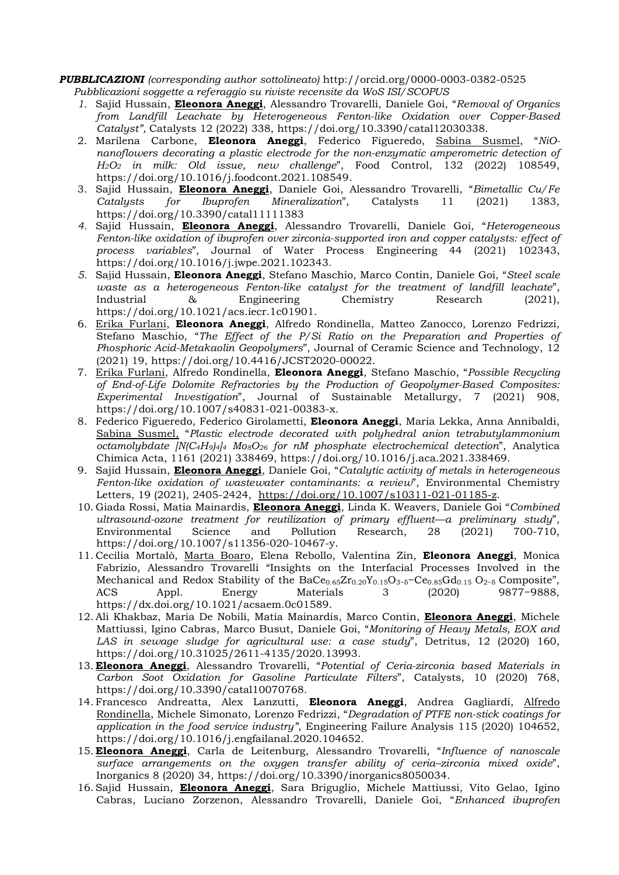## PUBBLICAZIONI (corresponding author sottolineato) http://orcid.org/0000-0003-0382-0525

- Pubblicazioni soggette a referaggio su riviste recensite da WoS ISI/SCOPUS
- 1. Sajid Hussain, Eleonora Aneggi, Alessandro Trovarelli, Daniele Goi, "Removal of Organics from Landfill Leachate by Heterogeneous Fenton-like Oxidation over Copper-Based Catalyst", Catalysts 12 (2022) 338, https://doi.org/10.3390/catal12030338.
- 2. Marilena Carbone, Eleonora Aneggi, Federico Figueredo, Sabina Susmel, "NiOnanoflowers decorating a plastic electrode for the non-enzymatic amperometric detection of  $H<sub>2</sub>O<sub>2</sub>$  in milk: Old issue, new challenge", Food Control, 132 (2022) 108549, https://doi.org/10.1016/j.foodcont.2021.108549.
- 3. Sajid Hussain, Eleonora Aneggi, Daniele Goi, Alessandro Trovarelli, "Bimetallic Cu/Fe Catalysts for Ibuprofen Mineralization", Catalysts 11 (2021) 1383, https://doi.org/10.3390/catal11111383
- 4. Sajid Hussain, Eleonora Aneggi, Alessandro Trovarelli, Daniele Goi, "Heterogeneous Fenton-like oxidation of ibuprofen over zirconia-supported iron and copper catalysts: effect of process variables", Journal of Water Process Engineering 44 (2021) 102343, https://doi.org/10.1016/j.jwpe.2021.102343.
- 5. Sajid Hussain, *Eleonora Aneggi*, Stefano Maschio, Marco Contin, Daniele Goi, "Steel scale waste as a heterogeneous Fenton-like catalyst for the treatment of landfill leachate", Industrial & Engineering Chemistry Research (2021), https://doi.org/10.1021/acs.iecr.1c01901.
- 6. Erika Furlani, Eleonora Aneggi, Alfredo Rondinella, Matteo Zanocco, Lorenzo Fedrizzi, Stefano Maschio, "The Effect of the P/Si Ratio on the Preparation and Properties of Phosphoric Acid-Metakaolin Geopolymers", Journal of Ceramic Science and Technology, 12 (2021) 19, https://doi.org/10.4416/JCST2020-00022.
- 7. Erika Furlani, Alfredo Rondinella, Eleonora Aneggi, Stefano Maschio, "Possible Recycling of End-of-Life Dolomite Refractories by the Production of Geopolymer-Based Composites: Experimental Investigation", Journal of Sustainable Metallurgy, 7 (2021) 908, https://doi.org/10.1007/s40831-021-00383-x.
- 8. Federico Figueredo, Federico Girolametti, Eleonora Aneggi, Maria Lekka, Anna Annibaldi, Sabina Susmel, "Plastic electrode decorated with polyhedral anion tetrabutylammonium octamolybdate  $[ N(C_4H_9)_4]_4$  Mo<sub>8</sub>O<sub>26</sub> for nM phosphate electrochemical detection", Analytica Chimica Acta, 1161 (2021) 338469, https://doi.org/10.1016/j.aca.2021.338469.
- 9. Sajid Hussain, *Eleonora Aneggi*, Daniele Goi, "Catalytic activity of metals in heterogeneous Fenton-like oxidation of wastewater contaminants: a review", Environmental Chemistry Letters, 19 (2021), 2405-2424, https://doi.org/10.1007/s10311-021-01185-z.
- 10. Giada Rossi, Matia Mainardis, Eleonora Aneggi, Linda K. Weavers, Daniele Goi "Combined ultrasound-ozone treatment for reutilization of primary effluent—a preliminary study", Environmental Science and Pollution Research, 28 (2021) 700-710, https://doi.org/10.1007/s11356-020-10467-y.
- 11. Cecilia Mortalò, Marta Boaro, Elena Rebollo, Valentina Zin, Eleonora Aneggi, Monica Fabrizio, Alessandro Trovarelli "Insights on the Interfacial Processes Involved in the Mechanical and Redox Stability of the BaCe $_{0.65}Zr_{0.20}Y_{0.15}O_{3-6}-Ce_{0.85}Gd_{0.15}O_{2-6}$  Composite", ACS Appl. Energy Materials 3 (2020) 9877−9888, https://dx.doi.org/10.1021/acsaem.0c01589.
- 12. Ali Khakbaz, Maria De Nobili, Matia Mainardis, Marco Contin, Eleonora Aneggi, Michele Mattiussi, Igino Cabras, Marco Busut, Daniele Goi, "Monitoring of Heavy Metals, EOX and LAS in sewage sludge for agricultural use: a case study", Detritus, 12 (2020) 160, https://doi.org/10.31025/2611-4135/2020.13993.
- 13. Eleonora Aneggi, Alessandro Trovarelli, "Potential of Ceria-zirconia based Materials in Carbon Soot Oxidation for Gasoline Particulate Filters", Catalysts, 10 (2020) 768, https://doi.org/10.3390/catal10070768.
- 14. Francesco Andreatta, Alex Lanzutti, Eleonora Aneggi, Andrea Gagliardi, Alfredo Rondinella, Michele Simonato, Lorenzo Fedrizzi, "Degradation of PTFE non-stick coatings for application in the food service industry", Engineering Failure Analysis 115 (2020) 104652, https://doi.org/10.1016/j.engfailanal.2020.104652.
- 15. Eleonora Aneggi, Carla de Leitenburg, Alessandro Trovarelli, "Influence of nanoscale surface arrangements on the oxygen transfer ability of ceria–zirconia mixed oxide", Inorganics 8 (2020) 34, https://doi.org/10.3390/inorganics8050034.
- 16. Sajid Hussain, *Eleonora Aneggi*, Sara Briguglio, Michele Mattiussi, Vito Gelao, Igino Cabras, Luciano Zorzenon, Alessandro Trovarelli, Daniele Goi, "Enhanced ibuprofen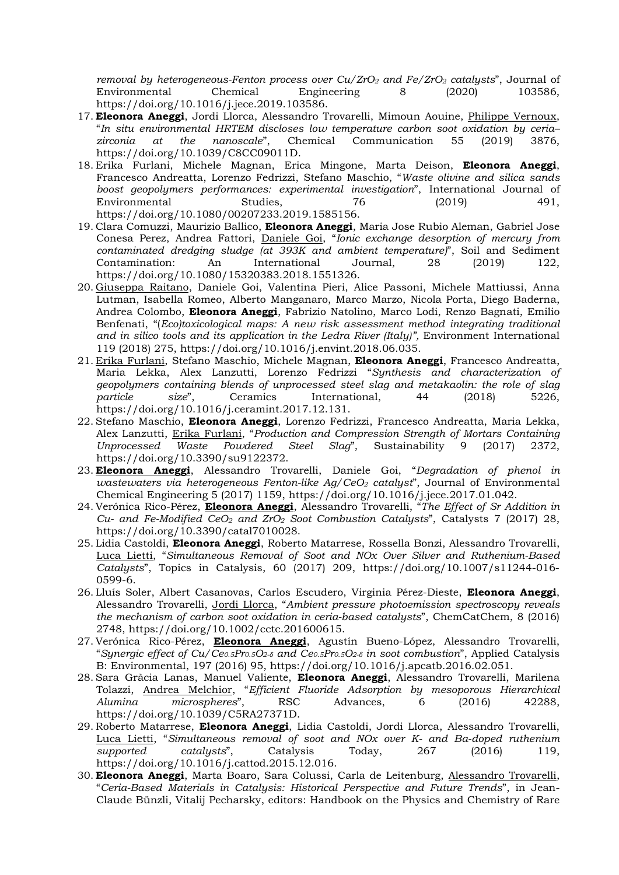removal by heterogeneous-Fenton process over  $Cu/ZrO<sub>2</sub>$  and Fe/ZrO<sub>2</sub> catalysts", Journal of Environmental Chemical Engineering 8 (2020) 103586, https://doi.org/10.1016/j.jece.2019.103586.

- 17. Eleonora Aneggi, Jordi Llorca, Alessandro Trovarelli, Mimoun Aouine, Philippe Vernoux, "In situ environmental HRTEM discloses low temperature carbon soot oxidation by ceria– zirconia at the nanoscale", Chemical Communication 55 (2019) 3876, https://doi.org/10.1039/C8CC09011D.
- 18. Erika Furlani, Michele Magnan, Erica Mingone, Marta Deison, Eleonora Aneggi, Francesco Andreatta, Lorenzo Fedrizzi, Stefano Maschio, "Waste olivine and silica sands boost geopolymers performances: experimental investigation", International Journal of Environmental Studies, 76 (2019) 491, https://doi.org/10.1080/00207233.2019.1585156.
- 19. Clara Comuzzi, Maurizio Ballico, Eleonora Aneggi, Maria Jose Rubio Aleman, Gabriel Jose Conesa Perez, Andrea Fattori, Daniele Goi, "Ionic exchange desorption of mercury from contaminated dredging sludge (at 393K and ambient temperature)", Soil and Sediment Contamination: An International Journal, 28 (2019) 122, https://doi.org/10.1080/15320383.2018.1551326.
- 20. Giuseppa Raitano, Daniele Goi, Valentina Pieri, Alice Passoni, Michele Mattiussi, Anna Lutman, Isabella Romeo, Alberto Manganaro, Marco Marzo, Nicola Porta, Diego Baderna, Andrea Colombo, Eleonora Aneggi, Fabrizio Natolino, Marco Lodi, Renzo Bagnati, Emilio Benfenati, "(Eco)toxicological maps: A new risk assessment method integrating traditional and in silico tools and its application in the Ledra River (Italy)", Environment International 119 (2018) 275, https://doi.org/10.1016/j.envint.2018.06.035.
- 21. Erika Furlani, Stefano Maschio, Michele Magnan, Eleonora Aneggi, Francesco Andreatta, Maria Lekka, Alex Lanzutti, Lorenzo Fedrizzi "Synthesis and characterization of geopolymers containing blends of unprocessed steel slag and metakaolin: the role of slag particle size", Ceramics International, 44 (2018) 5226, https://doi.org/10.1016/j.ceramint.2017.12.131.
- 22. Stefano Maschio, Eleonora Aneggi, Lorenzo Fedrizzi, Francesco Andreatta, Maria Lekka, Alex Lanzutti, Erika Furlani, "Production and Compression Strength of Mortars Containing Unprocessed Waste Powdered Steel Slag", Sustainability 9 (2017) 2372, https://doi.org/10.3390/su9122372.
- 23. **Eleonora Aneggi**, Alessandro Trovarelli, Daniele Goi, "Degradation of phenol in wastewaters via heterogeneous Fenton-like Ag/CeO<sub>2</sub> catalyst", Journal of Environmental Chemical Engineering 5 (2017) 1159, https://doi.org/10.1016/j.jece.2017.01.042.
- 24. Verónica Rico-Pérez, Eleonora Aneggi, Alessandro Trovarelli, "The Effect of Sr Addition in Cu- and Fe-Modified CeO<sub>2</sub> and ZrO<sub>2</sub> Soot Combustion Catalysts", Catalysts 7 (2017) 28, https://doi.org/10.3390/catal7010028.
- 25. Lidia Castoldi, Eleonora Aneggi, Roberto Matarrese, Rossella Bonzi, Alessandro Trovarelli, Luca Lietti, "Simultaneous Removal of Soot and NOx Over Silver and Ruthenium-Based Catalysts", Topics in Catalysis, 60 (2017) 209, https://doi.org/10.1007/s11244-016- 0599-6.
- 26. Lluís Soler, Albert Casanovas, Carlos Escudero, Virginia Pérez-Dieste, Eleonora Aneggi, Alessandro Trovarelli, Jordi Llorca, "Ambient pressure photoemission spectroscopy reveals the mechanism of carbon soot oxidation in ceria-based catalysts", ChemCatChem, 8 (2016) 2748, https://doi.org/10.1002/cctc.201600615.
- 27. Verónica Rico-Pérez, Eleonora Aneggi, Agustín Bueno-López, Alessandro Trovarelli, "Synergic effect of Cu/Ce0.5Pr0.5O2- $\delta$  and Ce0.5Pr0.5O2- $\delta$  in soot combustion", Applied Catalysis B: Environmental, 197 (2016) 95, https://doi.org/10.1016/j.apcatb.2016.02.051.
- 28. Sara Gràcia Lanas, Manuel Valiente, Eleonora Aneggi, Alessandro Trovarelli, Marilena Tolazzi, Andrea Melchior, "Efficient Fluoride Adsorption by mesoporous Hierarchical Alumina microspheres", RSC Advances, 6 (2016) 42288, https://doi.org/10.1039/C5RA27371D.
- 29. Roberto Matarrese, Eleonora Aneggi, Lidia Castoldi, Jordi Llorca, Alessandro Trovarelli, Luca Lietti, "Simultaneous removal of soot and NOx over K- and Ba-doped ruthenium supported catalysts", Catalysis Today, 267 (2016) 119, https://doi.org/10.1016/j.cattod.2015.12.016.
- 30. Eleonora Aneggi, Marta Boaro, Sara Colussi, Carla de Leitenburg, Alessandro Trovarelli, "Ceria-Based Materials in Catalysis: Historical Perspective and Future Trends", in Jean-Claude Bünzli, Vitalij Pecharsky, editors: Handbook on the Physics and Chemistry of Rare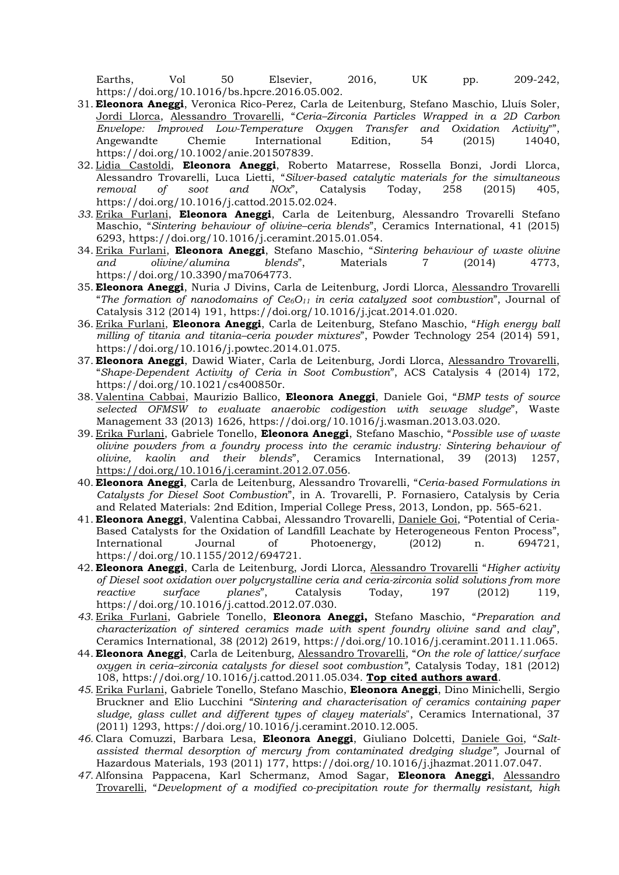Earths, Vol 50 Elsevier, 2016, UK pp. 209-242, https://doi.org/10.1016/bs.hpcre.2016.05.002.

- 31. Eleonora Aneggi, Veronica Rico-Perez, Carla de Leitenburg, Stefano Maschio, Lluís Soler, Jordi Llorca, Alessandro Trovarelli, "Ceria–Zirconia Particles Wrapped in a 2D Carbon Envelope: Improved Low-Temperature Oxygen Transfer and Oxidation Activity" Angewandte Chemie International Edition, 54 (2015) 14040, https://doi.org/10.1002/anie.201507839.
- 32. Lidia Castoldi, Eleonora Aneggi, Roberto Matarrese, Rossella Bonzi, Jordi Llorca, Alessandro Trovarelli, Luca Lietti, "Silver-based catalytic materials for the simultaneous removal of soot and  $NOx$ <sup>"</sup>, Catalysis Today, 258 (2015) 405, https://doi.org/10.1016/j.cattod.2015.02.024.
- 33. Erika Furlani, Eleonora Aneggi, Carla de Leitenburg, Alessandro Trovarelli Stefano Maschio, "Sintering behaviour of olivine–ceria blends", Ceramics International, 41 (2015) 6293, https://doi.org/10.1016/j.ceramint.2015.01.054.
- 34. Erika Furlani, Eleonora Aneggi, Stefano Maschio, "Sintering behaviour of waste olivine and olivine/alumina blends", Materials 7 (2014) 4773, https://doi.org/10.3390/ma7064773.
- 35. Eleonora Aneggi, Nuria J Divins, Carla de Leitenburg, Jordi Llorca, Alessandro Trovarelli "The formation of nanodomains of  $Ce6O<sub>11</sub>$  in ceria catalyzed soot combustion", Journal of Catalysis 312 (2014) 191, https://doi.org/10.1016/j.jcat.2014.01.020.
- 36. Erika Furlani, Eleonora Aneggi, Carla de Leitenburg, Stefano Maschio, "High energy ball milling of titania and titania–ceria powder mixtures", Powder Technology 254 (2014) 591, https://doi.org/10.1016/j.powtec.2014.01.075.
- 37. Eleonora Aneggi, Dawid Wiater, Carla de Leitenburg, Jordi Llorca, Alessandro Trovarelli, "Shape-Dependent Activity of Ceria in Soot Combustion", ACS Catalysis 4 (2014) 172, https://doi.org/10.1021/cs400850r.
- 38. Valentina Cabbai, Maurizio Ballico, Eleonora Aneggi, Daniele Goi, "BMP tests of source selected OFMSW to evaluate anaerobic codigestion with sewage sludge", Waste Management 33 (2013) 1626, https://doi.org/10.1016/j.wasman.2013.03.020.
- 39. Erika Furlani, Gabriele Tonello, Eleonora Aneggi, Stefano Maschio, "Possible use of waste olivine powders from a foundry process into the ceramic industry: Sintering behaviour of olivine, kaolin and their blends", Ceramics International, 39 (2013) 1257, https://doi.org/10.1016/j.ceramint.2012.07.056.
- 40. Eleonora Aneggi, Carla de Leitenburg, Alessandro Trovarelli, "Ceria-based Formulations in Catalysts for Diesel Soot Combustion", in A. Trovarelli, P. Fornasiero, Catalysis by Ceria and Related Materials: 2nd Edition, Imperial College Press, 2013, London, pp. 565-621.
- 41. Eleonora Aneggi, Valentina Cabbai, Alessandro Trovarelli, Daniele Goi, "Potential of Ceria-Based Catalysts for the Oxidation of Landfill Leachate by Heterogeneous Fenton Process", International Journal of Photoenergy, (2012) n. 694721, https://doi.org/10.1155/2012/694721.
- 42. Eleonora Aneggi, Carla de Leitenburg, Jordi Llorca, Alessandro Trovarelli "Higher activity of Diesel soot oxidation over polycrystalline ceria and ceria-zirconia solid solutions from more reactive surface planes", Catalysis Today, 197 (2012) 119, https://doi.org/10.1016/j.cattod.2012.07.030.
- 43. Erika Furlani, Gabriele Tonello, Eleonora Aneggi, Stefano Maschio, "Preparation and characterization of sintered ceramics made with spent foundry olivine sand and clay", Ceramics International, 38 (2012) 2619, https://doi.org/10.1016/j.ceramint.2011.11.065.
- 44. Eleonora Aneggi, Carla de Leitenburg, Alessandro Trovarelli, "On the role of lattice/surface oxygen in ceria–zirconia catalysts for diesel soot combustion", Catalysis Today, 181 (2012) 108, https://doi.org/10.1016/j.cattod.2011.05.034. Top cited authors award.
- 45. Erika Furlani, Gabriele Tonello, Stefano Maschio, **Eleonora Aneggi**, Dino Minichelli, Sergio Bruckner and Elio Lucchini "Sintering and characterisation of ceramics containing paper sludge, glass cullet and different types of clayey materials", Ceramics International, 37 (2011) 1293, https://doi.org/10.1016/j.ceramint.2010.12.005.
- 46. Clara Comuzzi, Barbara Lesa, Eleonora Aneggi, Giuliano Dolcetti, Daniele Goi, "Saltassisted thermal desorption of mercury from contaminated dredging sludge", Journal of Hazardous Materials, 193 (2011) 177, https://doi.org/10.1016/j.jhazmat.2011.07.047.
- 47. Alfonsina Pappacena, Karl Schermanz, Amod Sagar, Eleonora Aneggi, Alessandro Trovarelli, "Development of a modified co-precipitation route for thermally resistant, high